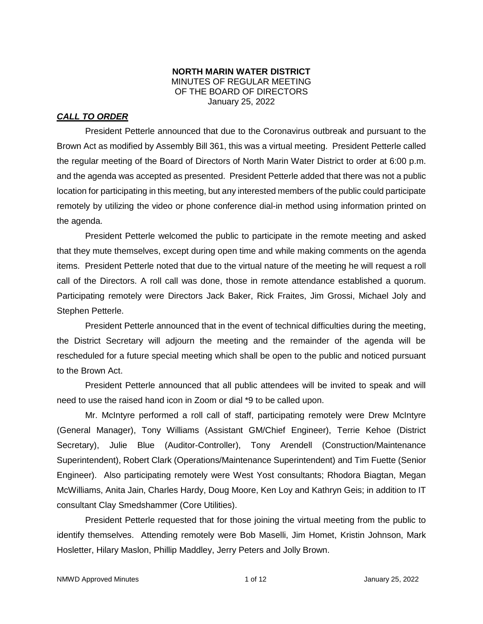## **NORTH MARIN WATER DISTRICT** MINUTES OF REGULAR MEETING OF THE BOARD OF DIRECTORS January 25, 2022

# *CALL TO ORDER*

President Petterle announced that due to the Coronavirus outbreak and pursuant to the Brown Act as modified by Assembly Bill 361, this was a virtual meeting. President Petterle called the regular meeting of the Board of Directors of North Marin Water District to order at 6:00 p.m. and the agenda was accepted as presented. President Petterle added that there was not a public location for participating in this meeting, but any interested members of the public could participate remotely by utilizing the video or phone conference dial-in method using information printed on the agenda.

President Petterle welcomed the public to participate in the remote meeting and asked that they mute themselves, except during open time and while making comments on the agenda items. President Petterle noted that due to the virtual nature of the meeting he will request a roll call of the Directors. A roll call was done, those in remote attendance established a quorum. Participating remotely were Directors Jack Baker, Rick Fraites, Jim Grossi, Michael Joly and Stephen Petterle.

President Petterle announced that in the event of technical difficulties during the meeting, the District Secretary will adjourn the meeting and the remainder of the agenda will be rescheduled for a future special meeting which shall be open to the public and noticed pursuant to the Brown Act.

President Petterle announced that all public attendees will be invited to speak and will need to use the raised hand icon in Zoom or dial \*9 to be called upon.

Mr. McIntyre performed a roll call of staff, participating remotely were Drew McIntyre (General Manager), Tony Williams (Assistant GM/Chief Engineer), Terrie Kehoe (District Secretary), Julie Blue (Auditor-Controller), Tony Arendell (Construction/Maintenance Superintendent), Robert Clark (Operations/Maintenance Superintendent) and Tim Fuette (Senior Engineer). Also participating remotely were West Yost consultants; Rhodora Biagtan, Megan McWilliams, Anita Jain, Charles Hardy, Doug Moore, Ken Loy and Kathryn Geis; in addition to IT consultant Clay Smedshammer (Core Utilities).

President Petterle requested that for those joining the virtual meeting from the public to identify themselves. Attending remotely were Bob Maselli, Jim Homet, Kristin Johnson, Mark Hosletter, Hilary Maslon, Phillip Maddley, Jerry Peters and Jolly Brown.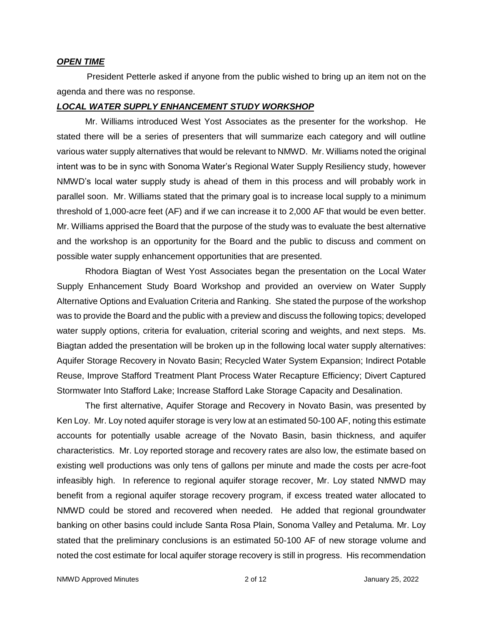#### *OPEN TIME*

President Petterle asked if anyone from the public wished to bring up an item not on the agenda and there was no response.

### *LOCAL WATER SUPPLY ENHANCEMENT STUDY WORKSHOP*

Mr. Williams introduced West Yost Associates as the presenter for the workshop. He stated there will be a series of presenters that will summarize each category and will outline various water supply alternatives that would be relevant to NMWD. Mr. Williams noted the original intent was to be in sync with Sonoma Water's Regional Water Supply Resiliency study, however NMWD's local water supply study is ahead of them in this process and will probably work in parallel soon. Mr. Williams stated that the primary goal is to increase local supply to a minimum threshold of 1,000-acre feet (AF) and if we can increase it to 2,000 AF that would be even better. Mr. Williams apprised the Board that the purpose of the study was to evaluate the best alternative and the workshop is an opportunity for the Board and the public to discuss and comment on possible water supply enhancement opportunities that are presented.

Rhodora Biagtan of West Yost Associates began the presentation on the Local Water Supply Enhancement Study Board Workshop and provided an overview on Water Supply Alternative Options and Evaluation Criteria and Ranking. She stated the purpose of the workshop was to provide the Board and the public with a preview and discuss the following topics; developed water supply options, criteria for evaluation, criterial scoring and weights, and next steps. Ms. Biagtan added the presentation will be broken up in the following local water supply alternatives: Aquifer Storage Recovery in Novato Basin; Recycled Water System Expansion; Indirect Potable Reuse, Improve Stafford Treatment Plant Process Water Recapture Efficiency; Divert Captured Stormwater Into Stafford Lake; Increase Stafford Lake Storage Capacity and Desalination.

The first alternative, Aquifer Storage and Recovery in Novato Basin, was presented by Ken Loy. Mr. Loy noted aquifer storage is very low at an estimated 50-100 AF, noting this estimate accounts for potentially usable acreage of the Novato Basin, basin thickness, and aquifer characteristics. Mr. Loy reported storage and recovery rates are also low, the estimate based on existing well productions was only tens of gallons per minute and made the costs per acre-foot infeasibly high. In reference to regional aquifer storage recover, Mr. Loy stated NMWD may benefit from a regional aquifer storage recovery program, if excess treated water allocated to NMWD could be stored and recovered when needed. He added that regional groundwater banking on other basins could include Santa Rosa Plain, Sonoma Valley and Petaluma. Mr. Loy stated that the preliminary conclusions is an estimated 50-100 AF of new storage volume and noted the cost estimate for local aquifer storage recovery is still in progress. His recommendation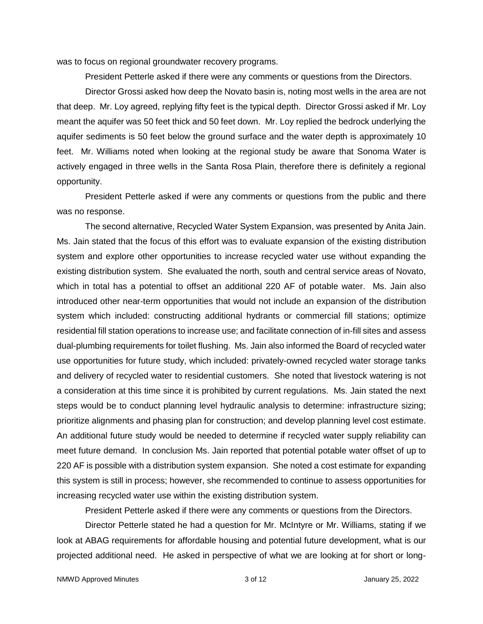was to focus on regional groundwater recovery programs.

President Petterle asked if there were any comments or questions from the Directors.

Director Grossi asked how deep the Novato basin is, noting most wells in the area are not that deep. Mr. Loy agreed, replying fifty feet is the typical depth. Director Grossi asked if Mr. Loy meant the aquifer was 50 feet thick and 50 feet down. Mr. Loy replied the bedrock underlying the aquifer sediments is 50 feet below the ground surface and the water depth is approximately 10 feet. Mr. Williams noted when looking at the regional study be aware that Sonoma Water is actively engaged in three wells in the Santa Rosa Plain, therefore there is definitely a regional opportunity.

President Petterle asked if were any comments or questions from the public and there was no response.

The second alternative, Recycled Water System Expansion, was presented by Anita Jain. Ms. Jain stated that the focus of this effort was to evaluate expansion of the existing distribution system and explore other opportunities to increase recycled water use without expanding the existing distribution system. She evaluated the north, south and central service areas of Novato, which in total has a potential to offset an additional 220 AF of potable water. Ms. Jain also introduced other near-term opportunities that would not include an expansion of the distribution system which included: constructing additional hydrants or commercial fill stations; optimize residential fill station operations to increase use; and facilitate connection of in-fill sites and assess dual-plumbing requirements for toilet flushing. Ms. Jain also informed the Board of recycled water use opportunities for future study, which included: privately-owned recycled water storage tanks and delivery of recycled water to residential customers. She noted that livestock watering is not a consideration at this time since it is prohibited by current regulations. Ms. Jain stated the next steps would be to conduct planning level hydraulic analysis to determine: infrastructure sizing; prioritize alignments and phasing plan for construction; and develop planning level cost estimate. An additional future study would be needed to determine if recycled water supply reliability can meet future demand. In conclusion Ms. Jain reported that potential potable water offset of up to 220 AF is possible with a distribution system expansion. She noted a cost estimate for expanding this system is still in process; however, she recommended to continue to assess opportunities for increasing recycled water use within the existing distribution system.

President Petterle asked if there were any comments or questions from the Directors.

Director Petterle stated he had a question for Mr. McIntyre or Mr. Williams, stating if we look at ABAG requirements for affordable housing and potential future development, what is our projected additional need. He asked in perspective of what we are looking at for short or long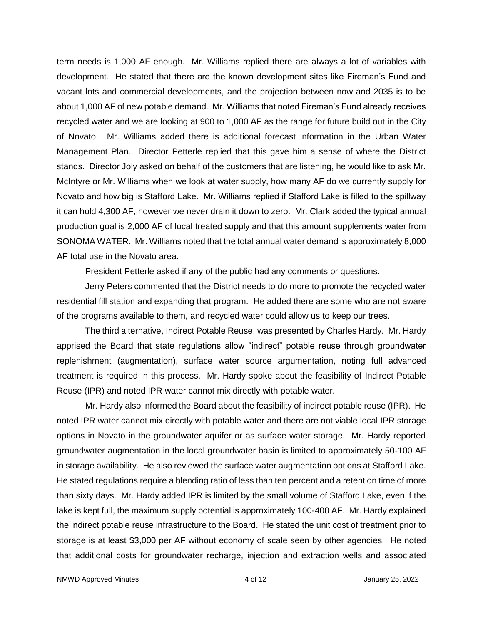term needs is 1,000 AF enough. Mr. Williams replied there are always a lot of variables with development. He stated that there are the known development sites like Fireman's Fund and vacant lots and commercial developments, and the projection between now and 2035 is to be about 1,000 AF of new potable demand. Mr. Williams that noted Fireman's Fund already receives recycled water and we are looking at 900 to 1,000 AF as the range for future build out in the City of Novato. Mr. Williams added there is additional forecast information in the Urban Water Management Plan. Director Petterle replied that this gave him a sense of where the District stands. Director Joly asked on behalf of the customers that are listening, he would like to ask Mr. McIntyre or Mr. Williams when we look at water supply, how many AF do we currently supply for Novato and how big is Stafford Lake. Mr. Williams replied if Stafford Lake is filled to the spillway it can hold 4,300 AF, however we never drain it down to zero. Mr. Clark added the typical annual production goal is 2,000 AF of local treated supply and that this amount supplements water from SONOMA WATER. Mr. Williams noted that the total annual water demand is approximately 8,000 AF total use in the Novato area.

President Petterle asked if any of the public had any comments or questions.

Jerry Peters commented that the District needs to do more to promote the recycled water residential fill station and expanding that program. He added there are some who are not aware of the programs available to them, and recycled water could allow us to keep our trees.

The third alternative, Indirect Potable Reuse, was presented by Charles Hardy. Mr. Hardy apprised the Board that state regulations allow "indirect" potable reuse through groundwater replenishment (augmentation), surface water source argumentation, noting full advanced treatment is required in this process. Mr. Hardy spoke about the feasibility of Indirect Potable Reuse (IPR) and noted IPR water cannot mix directly with potable water.

Mr. Hardy also informed the Board about the feasibility of indirect potable reuse (IPR). He noted IPR water cannot mix directly with potable water and there are not viable local IPR storage options in Novato in the groundwater aquifer or as surface water storage. Mr. Hardy reported groundwater augmentation in the local groundwater basin is limited to approximately 50-100 AF in storage availability. He also reviewed the surface water augmentation options at Stafford Lake. He stated regulations require a blending ratio of less than ten percent and a retention time of more than sixty days. Mr. Hardy added IPR is limited by the small volume of Stafford Lake, even if the lake is kept full, the maximum supply potential is approximately 100-400 AF. Mr. Hardy explained the indirect potable reuse infrastructure to the Board. He stated the unit cost of treatment prior to storage is at least \$3,000 per AF without economy of scale seen by other agencies. He noted that additional costs for groundwater recharge, injection and extraction wells and associated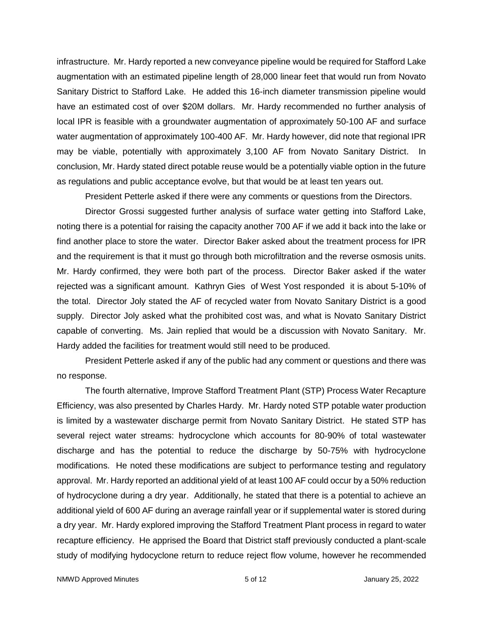infrastructure. Mr. Hardy reported a new conveyance pipeline would be required for Stafford Lake augmentation with an estimated pipeline length of 28,000 linear feet that would run from Novato Sanitary District to Stafford Lake. He added this 16-inch diameter transmission pipeline would have an estimated cost of over \$20M dollars. Mr. Hardy recommended no further analysis of local IPR is feasible with a groundwater augmentation of approximately 50-100 AF and surface water augmentation of approximately 100-400 AF. Mr. Hardy however, did note that regional IPR may be viable, potentially with approximately 3,100 AF from Novato Sanitary District. conclusion, Mr. Hardy stated direct potable reuse would be a potentially viable option in the future as regulations and public acceptance evolve, but that would be at least ten years out.

President Petterle asked if there were any comments or questions from the Directors.

Director Grossi suggested further analysis of surface water getting into Stafford Lake, noting there is a potential for raising the capacity another 700 AF if we add it back into the lake or find another place to store the water. Director Baker asked about the treatment process for IPR and the requirement is that it must go through both microfiltration and the reverse osmosis units. Mr. Hardy confirmed, they were both part of the process. Director Baker asked if the water rejected was a significant amount. Kathryn Gies of West Yost responded it is about 5-10% of the total. Director Joly stated the AF of recycled water from Novato Sanitary District is a good supply. Director Joly asked what the prohibited cost was, and what is Novato Sanitary District capable of converting. Ms. Jain replied that would be a discussion with Novato Sanitary. Mr. Hardy added the facilities for treatment would still need to be produced.

President Petterle asked if any of the public had any comment or questions and there was no response.

The fourth alternative, Improve Stafford Treatment Plant (STP) Process Water Recapture Efficiency, was also presented by Charles Hardy. Mr. Hardy noted STP potable water production is limited by a wastewater discharge permit from Novato Sanitary District. He stated STP has several reject water streams: hydrocyclone which accounts for 80-90% of total wastewater discharge and has the potential to reduce the discharge by 50-75% with hydrocyclone modifications. He noted these modifications are subject to performance testing and regulatory approval. Mr. Hardy reported an additional yield of at least 100 AF could occur by a 50% reduction of hydrocyclone during a dry year. Additionally, he stated that there is a potential to achieve an additional yield of 600 AF during an average rainfall year or if supplemental water is stored during a dry year. Mr. Hardy explored improving the Stafford Treatment Plant process in regard to water recapture efficiency. He apprised the Board that District staff previously conducted a plant-scale study of modifying hydocyclone return to reduce reject flow volume, however he recommended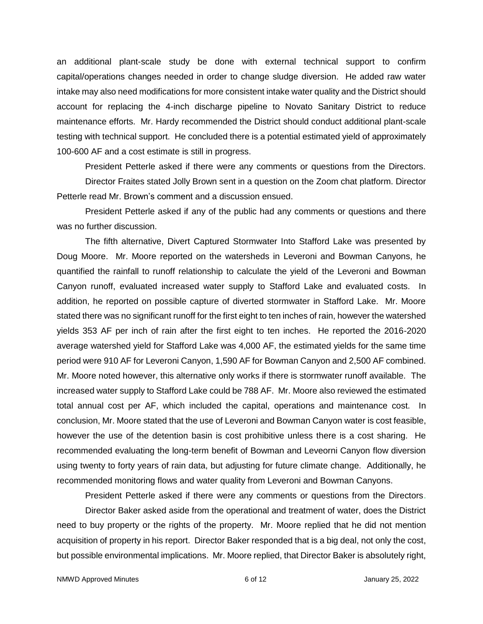an additional plant-scale study be done with external technical support to confirm capital/operations changes needed in order to change sludge diversion. He added raw water intake may also need modifications for more consistent intake water quality and the District should account for replacing the 4-inch discharge pipeline to Novato Sanitary District to reduce maintenance efforts. Mr. Hardy recommended the District should conduct additional plant-scale testing with technical support. He concluded there is a potential estimated yield of approximately 100-600 AF and a cost estimate is still in progress.

President Petterle asked if there were any comments or questions from the Directors.

Director Fraites stated Jolly Brown sent in a question on the Zoom chat platform. Director Petterle read Mr. Brown's comment and a discussion ensued.

President Petterle asked if any of the public had any comments or questions and there was no further discussion.

The fifth alternative, Divert Captured Stormwater Into Stafford Lake was presented by Doug Moore. Mr. Moore reported on the watersheds in Leveroni and Bowman Canyons, he quantified the rainfall to runoff relationship to calculate the yield of the Leveroni and Bowman Canyon runoff, evaluated increased water supply to Stafford Lake and evaluated costs. In addition, he reported on possible capture of diverted stormwater in Stafford Lake. Mr. Moore stated there was no significant runoff for the first eight to ten inches of rain, however the watershed yields 353 AF per inch of rain after the first eight to ten inches. He reported the 2016-2020 average watershed yield for Stafford Lake was 4,000 AF, the estimated yields for the same time period were 910 AF for Leveroni Canyon, 1,590 AF for Bowman Canyon and 2,500 AF combined. Mr. Moore noted however, this alternative only works if there is stormwater runoff available. The increased water supply to Stafford Lake could be 788 AF. Mr. Moore also reviewed the estimated total annual cost per AF, which included the capital, operations and maintenance cost. In conclusion, Mr. Moore stated that the use of Leveroni and Bowman Canyon water is cost feasible, however the use of the detention basin is cost prohibitive unless there is a cost sharing. He recommended evaluating the long-term benefit of Bowman and Leveorni Canyon flow diversion using twenty to forty years of rain data, but adjusting for future climate change. Additionally, he recommended monitoring flows and water quality from Leveroni and Bowman Canyons.

President Petterle asked if there were any comments or questions from the Directors.

Director Baker asked aside from the operational and treatment of water, does the District need to buy property or the rights of the property. Mr. Moore replied that he did not mention acquisition of property in his report. Director Baker responded that is a big deal, not only the cost, but possible environmental implications. Mr. Moore replied, that Director Baker is absolutely right,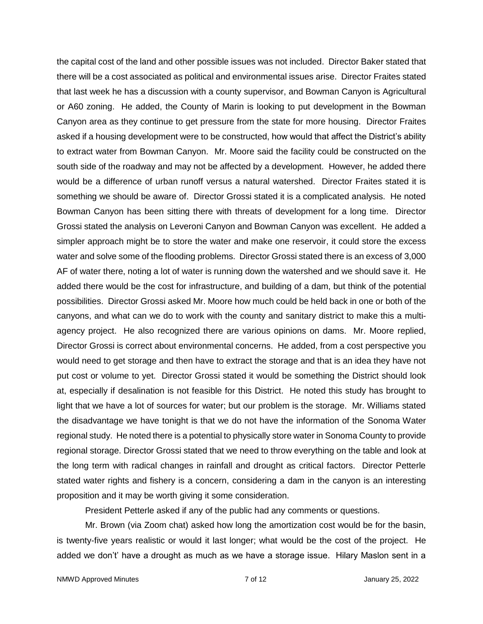the capital cost of the land and other possible issues was not included. Director Baker stated that there will be a cost associated as political and environmental issues arise. Director Fraites stated that last week he has a discussion with a county supervisor, and Bowman Canyon is Agricultural or A60 zoning. He added, the County of Marin is looking to put development in the Bowman Canyon area as they continue to get pressure from the state for more housing. Director Fraites asked if a housing development were to be constructed, how would that affect the District's ability to extract water from Bowman Canyon. Mr. Moore said the facility could be constructed on the south side of the roadway and may not be affected by a development. However, he added there would be a difference of urban runoff versus a natural watershed. Director Fraites stated it is something we should be aware of. Director Grossi stated it is a complicated analysis. He noted Bowman Canyon has been sitting there with threats of development for a long time. Director Grossi stated the analysis on Leveroni Canyon and Bowman Canyon was excellent. He added a simpler approach might be to store the water and make one reservoir, it could store the excess water and solve some of the flooding problems. Director Grossi stated there is an excess of 3,000 AF of water there, noting a lot of water is running down the watershed and we should save it. He added there would be the cost for infrastructure, and building of a dam, but think of the potential possibilities. Director Grossi asked Mr. Moore how much could be held back in one or both of the canyons, and what can we do to work with the county and sanitary district to make this a multiagency project. He also recognized there are various opinions on dams. Mr. Moore replied, Director Grossi is correct about environmental concerns. He added, from a cost perspective you would need to get storage and then have to extract the storage and that is an idea they have not put cost or volume to yet. Director Grossi stated it would be something the District should look at, especially if desalination is not feasible for this District. He noted this study has brought to light that we have a lot of sources for water; but our problem is the storage. Mr. Williams stated the disadvantage we have tonight is that we do not have the information of the Sonoma Water regional study. He noted there is a potential to physically store water in Sonoma County to provide regional storage. Director Grossi stated that we need to throw everything on the table and look at the long term with radical changes in rainfall and drought as critical factors. Director Petterle stated water rights and fishery is a concern, considering a dam in the canyon is an interesting proposition and it may be worth giving it some consideration.

President Petterle asked if any of the public had any comments or questions.

Mr. Brown (via Zoom chat) asked how long the amortization cost would be for the basin, is twenty-five years realistic or would it last longer; what would be the cost of the project. He added we don't' have a drought as much as we have a storage issue. Hilary Maslon sent in a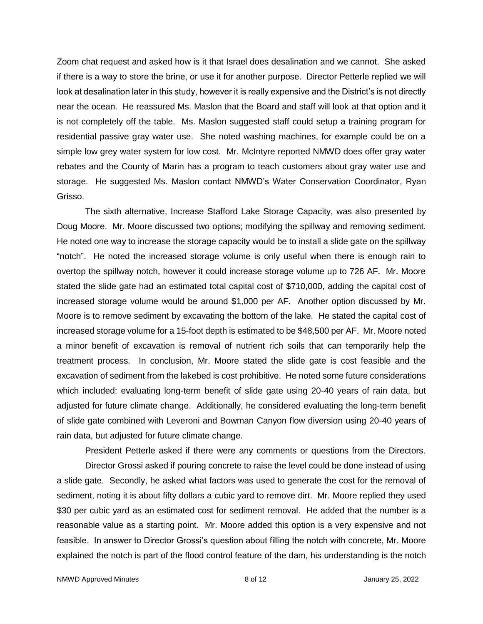Zoom chat request and asked how is it that Israel does desalination and we cannot. She asked if there is a way to store the brine, or use it for another purpose. Director Petterle replied we will look at desalination later in this study, however it is really expensive and the District's is not directly near the ocean. He reassured Ms. Maslon that the Board and staff will look at that option and it is not completely off the table. Ms. Maslon suggested staff could setup a training program for residential passive gray water use. She noted washing machines, for example could be on a simple low grey water system for low cost. Mr. McIntyre reported NMWD does offer gray water rebates and the County of Marin has a program to teach customers about gray water use and storage. He suggested Ms. Maslon contact NMWD's Water Conservation Coordinator, Ryan Grisso.

The sixth alternative, Increase Stafford Lake Storage Capacity, was also presented by Doug Moore. Mr. Moore discussed two options; modifying the spillway and removing sediment. He noted one way to increase the storage capacity would be to install a slide gate on the spillway "notch". He noted the increased storage volume is only useful when there is enough rain to overtop the spillway notch, however it could increase storage volume up to 726 AF. Mr. Moore stated the slide gate had an estimated total capital cost of \$710,000, adding the capital cost of increased storage volume would be around \$1,000 per AF. Another option discussed by Mr. Moore is to remove sediment by excavating the bottom of the lake. He stated the capital cost of increased storage volume for a 15-foot depth is estimated to be \$48,500 per AF. Mr. Moore noted a minor benefit of excavation is removal of nutrient rich soils that can temporarily help the treatment process. In conclusion, Mr. Moore stated the slide gate is cost feasible and the excavation of sediment from the lakebed is cost prohibitive. He noted some future considerations which included: evaluating long-term benefit of slide gate using 20-40 years of rain data, but adjusted for future climate change. Additionally, he considered evaluating the long-term benefit of slide gate combined with Leveroni and Bowman Canyon flow diversion using 20-40 years of rain data, but adjusted for future climate change.

President Petterle asked if there were any comments or questions from the Directors.

Director Grossi asked if pouring concrete to raise the level could be done instead of using a slide gate. Secondly, he asked what factors was used to generate the cost for the removal of sediment, noting it is about fifty dollars a cubic yard to remove dirt. Mr. Moore replied they used \$30 per cubic yard as an estimated cost for sediment removal. He added that the number is a reasonable value as a starting point. Mr. Moore added this option is a very expensive and not feasible. In answer to Director Grossi's question about filling the notch with concrete, Mr. Moore explained the notch is part of the flood control feature of the dam, his understanding is the notch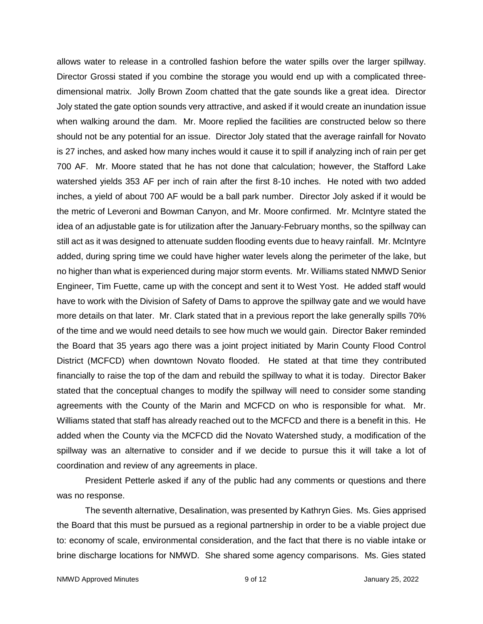allows water to release in a controlled fashion before the water spills over the larger spillway. Director Grossi stated if you combine the storage you would end up with a complicated threedimensional matrix. Jolly Brown Zoom chatted that the gate sounds like a great idea. Director Joly stated the gate option sounds very attractive, and asked if it would create an inundation issue when walking around the dam. Mr. Moore replied the facilities are constructed below so there should not be any potential for an issue. Director Joly stated that the average rainfall for Novato is 27 inches, and asked how many inches would it cause it to spill if analyzing inch of rain per get 700 AF. Mr. Moore stated that he has not done that calculation; however, the Stafford Lake watershed yields 353 AF per inch of rain after the first 8-10 inches. He noted with two added inches, a yield of about 700 AF would be a ball park number. Director Joly asked if it would be the metric of Leveroni and Bowman Canyon, and Mr. Moore confirmed. Mr. McIntyre stated the idea of an adjustable gate is for utilization after the January-February months, so the spillway can still act as it was designed to attenuate sudden flooding events due to heavy rainfall. Mr. McIntyre added, during spring time we could have higher water levels along the perimeter of the lake, but no higher than what is experienced during major storm events. Mr. Williams stated NMWD Senior Engineer, Tim Fuette, came up with the concept and sent it to West Yost. He added staff would have to work with the Division of Safety of Dams to approve the spillway gate and we would have more details on that later. Mr. Clark stated that in a previous report the lake generally spills 70% of the time and we would need details to see how much we would gain. Director Baker reminded the Board that 35 years ago there was a joint project initiated by Marin County Flood Control District (MCFCD) when downtown Novato flooded. He stated at that time they contributed financially to raise the top of the dam and rebuild the spillway to what it is today. Director Baker stated that the conceptual changes to modify the spillway will need to consider some standing agreements with the County of the Marin and MCFCD on who is responsible for what. Mr. Williams stated that staff has already reached out to the MCFCD and there is a benefit in this. He added when the County via the MCFCD did the Novato Watershed study, a modification of the spillway was an alternative to consider and if we decide to pursue this it will take a lot of coordination and review of any agreements in place.

President Petterle asked if any of the public had any comments or questions and there was no response.

The seventh alternative, Desalination, was presented by Kathryn Gies. Ms. Gies apprised the Board that this must be pursued as a regional partnership in order to be a viable project due to: economy of scale, environmental consideration, and the fact that there is no viable intake or brine discharge locations for NMWD. She shared some agency comparisons. Ms. Gies stated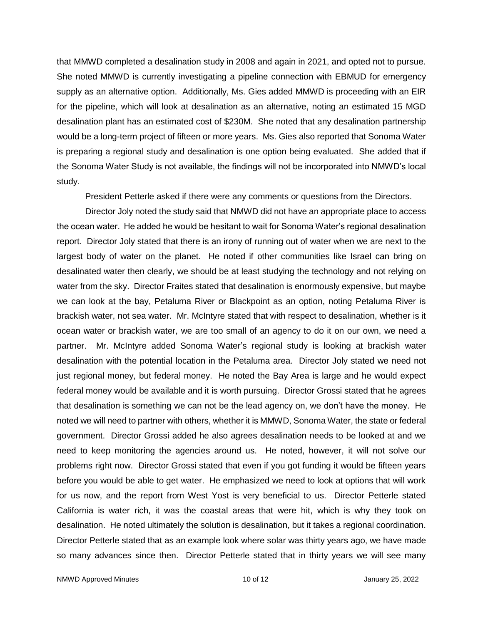that MMWD completed a desalination study in 2008 and again in 2021, and opted not to pursue. She noted MMWD is currently investigating a pipeline connection with EBMUD for emergency supply as an alternative option. Additionally, Ms. Gies added MMWD is proceeding with an EIR for the pipeline, which will look at desalination as an alternative, noting an estimated 15 MGD desalination plant has an estimated cost of \$230M. She noted that any desalination partnership would be a long-term project of fifteen or more years. Ms. Gies also reported that Sonoma Water is preparing a regional study and desalination is one option being evaluated. She added that if the Sonoma Water Study is not available, the findings will not be incorporated into NMWD's local study.

President Petterle asked if there were any comments or questions from the Directors.

Director Joly noted the study said that NMWD did not have an appropriate place to access the ocean water. He added he would be hesitant to wait for Sonoma Water's regional desalination report. Director Joly stated that there is an irony of running out of water when we are next to the largest body of water on the planet. He noted if other communities like Israel can bring on desalinated water then clearly, we should be at least studying the technology and not relying on water from the sky. Director Fraites stated that desalination is enormously expensive, but maybe we can look at the bay, Petaluma River or Blackpoint as an option, noting Petaluma River is brackish water, not sea water. Mr. McIntyre stated that with respect to desalination, whether is it ocean water or brackish water, we are too small of an agency to do it on our own, we need a partner. Mr. McIntyre added Sonoma Water's regional study is looking at brackish water desalination with the potential location in the Petaluma area. Director Joly stated we need not just regional money, but federal money. He noted the Bay Area is large and he would expect federal money would be available and it is worth pursuing. Director Grossi stated that he agrees that desalination is something we can not be the lead agency on, we don't have the money. He noted we will need to partner with others, whether it is MMWD, Sonoma Water, the state or federal government. Director Grossi added he also agrees desalination needs to be looked at and we need to keep monitoring the agencies around us. He noted, however, it will not solve our problems right now. Director Grossi stated that even if you got funding it would be fifteen years before you would be able to get water. He emphasized we need to look at options that will work for us now, and the report from West Yost is very beneficial to us. Director Petterle stated California is water rich, it was the coastal areas that were hit, which is why they took on desalination. He noted ultimately the solution is desalination, but it takes a regional coordination. Director Petterle stated that as an example look where solar was thirty years ago, we have made so many advances since then. Director Petterle stated that in thirty years we will see many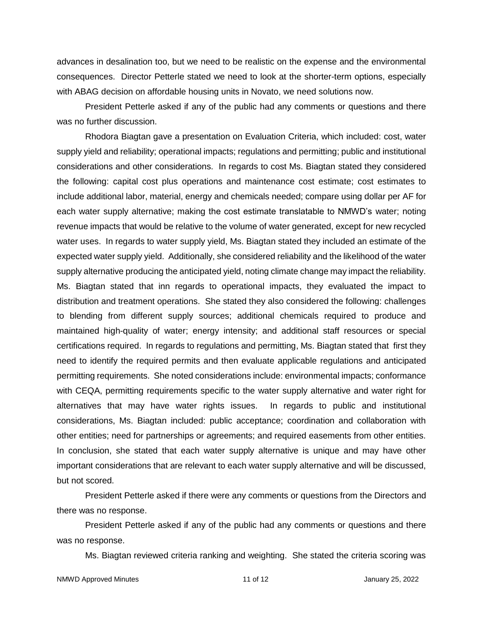advances in desalination too, but we need to be realistic on the expense and the environmental consequences. Director Petterle stated we need to look at the shorter-term options, especially with ABAG decision on affordable housing units in Novato, we need solutions now.

President Petterle asked if any of the public had any comments or questions and there was no further discussion.

Rhodora Biagtan gave a presentation on Evaluation Criteria, which included: cost, water supply yield and reliability; operational impacts; regulations and permitting; public and institutional considerations and other considerations. In regards to cost Ms. Biagtan stated they considered the following: capital cost plus operations and maintenance cost estimate; cost estimates to include additional labor, material, energy and chemicals needed; compare using dollar per AF for each water supply alternative; making the cost estimate translatable to NMWD's water; noting revenue impacts that would be relative to the volume of water generated, except for new recycled water uses. In regards to water supply yield, Ms. Biagtan stated they included an estimate of the expected water supply yield. Additionally, she considered reliability and the likelihood of the water supply alternative producing the anticipated yield, noting climate change may impact the reliability. Ms. Biagtan stated that inn regards to operational impacts, they evaluated the impact to distribution and treatment operations. She stated they also considered the following: challenges to blending from different supply sources; additional chemicals required to produce and maintained high-quality of water; energy intensity; and additional staff resources or special certifications required. In regards to regulations and permitting, Ms. Biagtan stated that first they need to identify the required permits and then evaluate applicable regulations and anticipated permitting requirements. She noted considerations include: environmental impacts; conformance with CEQA, permitting requirements specific to the water supply alternative and water right for alternatives that may have water rights issues. In regards to public and institutional considerations, Ms. Biagtan included: public acceptance; coordination and collaboration with other entities; need for partnerships or agreements; and required easements from other entities. In conclusion, she stated that each water supply alternative is unique and may have other important considerations that are relevant to each water supply alternative and will be discussed, but not scored.

President Petterle asked if there were any comments or questions from the Directors and there was no response.

President Petterle asked if any of the public had any comments or questions and there was no response.

Ms. Biagtan reviewed criteria ranking and weighting. She stated the criteria scoring was